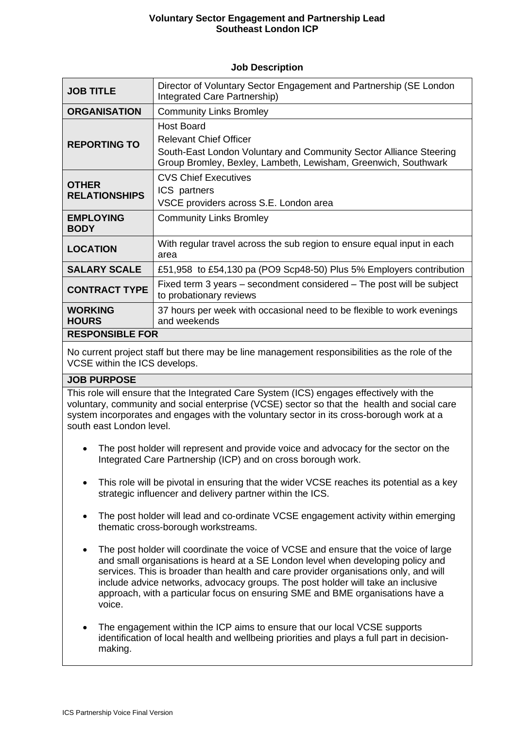# **Voluntary Sector Engagement and Partnership Lead Southeast London ICP**

#### **Job Description**

| <b>JOB TITLE</b>                     | Director of Voluntary Sector Engagement and Partnership (SE London<br>Integrated Care Partnership)                                                                                         |  |
|--------------------------------------|--------------------------------------------------------------------------------------------------------------------------------------------------------------------------------------------|--|
| <b>ORGANISATION</b>                  | <b>Community Links Bromley</b>                                                                                                                                                             |  |
| <b>REPORTING TO</b>                  | <b>Host Board</b><br><b>Relevant Chief Officer</b><br>South-East London Voluntary and Community Sector Alliance Steering<br>Group Bromley, Bexley, Lambeth, Lewisham, Greenwich, Southwark |  |
| <b>OTHER</b><br><b>RELATIONSHIPS</b> | <b>CVS Chief Executives</b><br>ICS partners<br>VSCE providers across S.E. London area                                                                                                      |  |
| <b>EMPLOYING</b><br><b>BODY</b>      | <b>Community Links Bromley</b>                                                                                                                                                             |  |
| <b>LOCATION</b>                      | With regular travel across the sub region to ensure equal input in each<br>area                                                                                                            |  |
| <b>SALARY SCALE</b>                  | £51,958 to £54,130 pa (PO9 Scp48-50) Plus 5% Employers contribution                                                                                                                        |  |
| <b>CONTRACT TYPE</b>                 | Fixed term 3 years – secondment considered – The post will be subject<br>to probationary reviews                                                                                           |  |
| <b>WORKING</b><br><b>HOURS</b>       | 37 hours per week with occasional need to be flexible to work evenings<br>and weekends                                                                                                     |  |
| <b>RESPONSIBLE FOR</b>               |                                                                                                                                                                                            |  |

No current project staff but there may be line management responsibilities as the role of the VCSE within the ICS develops.

#### **JOB PURPOSE**

This role will ensure that the Integrated Care System (ICS) engages effectively with the voluntary, community and social enterprise (VCSE) sector so that the health and social care system incorporates and engages with the voluntary sector in its cross-borough work at a south east London level.

- The post holder will represent and provide voice and advocacy for the sector on the Integrated Care Partnership (ICP) and on cross borough work.
- This role will be pivotal in ensuring that the wider VCSE reaches its potential as a key strategic influencer and delivery partner within the ICS.
- The post holder will lead and co-ordinate VCSE engagement activity within emerging thematic cross-borough workstreams.
- The post holder will coordinate the voice of VCSE and ensure that the voice of large and small organisations is heard at a SE London level when developing policy and services. This is broader than health and care provider organisations only, and will include advice networks, advocacy groups. The post holder will take an inclusive approach, with a particular focus on ensuring SME and BME organisations have a voice.
- The engagement within the ICP aims to ensure that our local VCSE supports identification of local health and wellbeing priorities and plays a full part in decisionmaking.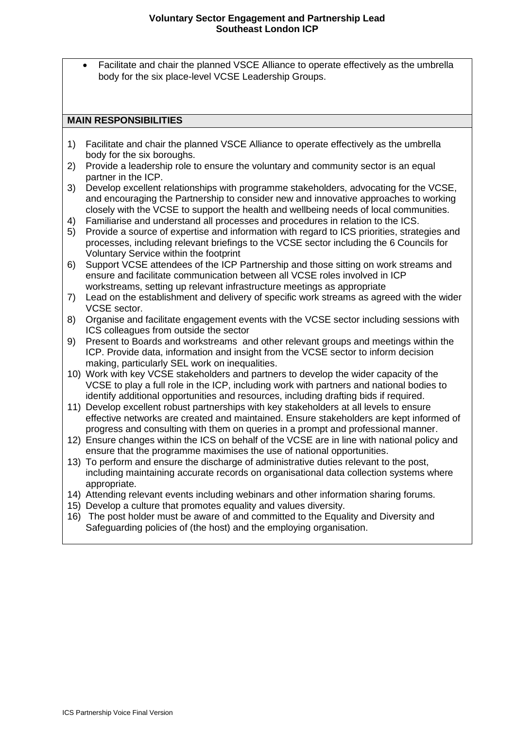# **Voluntary Sector Engagement and Partnership Lead Southeast London ICP**

• Facilitate and chair the planned VSCE Alliance to operate effectively as the umbrella body for the six place-level VCSE Leadership Groups.

# **MAIN RESPONSIBILITIES**

- 1) Facilitate and chair the planned VSCE Alliance to operate effectively as the umbrella body for the six boroughs.
- 2) Provide a leadership role to ensure the voluntary and community sector is an equal partner in the ICP.
- 3) Develop excellent relationships with programme stakeholders, advocating for the VCSE, and encouraging the Partnership to consider new and innovative approaches to working closely with the VCSE to support the health and wellbeing needs of local communities.
- 4) Familiarise and understand all processes and procedures in relation to the ICS.
- 5) Provide a source of expertise and information with regard to ICS priorities, strategies and processes, including relevant briefings to the VCSE sector including the 6 Councils for Voluntary Service within the footprint
- 6) Support VCSE attendees of the ICP Partnership and those sitting on work streams and ensure and facilitate communication between all VCSE roles involved in ICP workstreams, setting up relevant infrastructure meetings as appropriate
- 7) Lead on the establishment and delivery of specific work streams as agreed with the wider VCSE sector.
- 8) Organise and facilitate engagement events with the VCSE sector including sessions with ICS colleagues from outside the sector
- 9) Present to Boards and workstreams and other relevant groups and meetings within the ICP. Provide data, information and insight from the VCSE sector to inform decision making, particularly SEL work on inequalities.
- 10) Work with key VCSE stakeholders and partners to develop the wider capacity of the VCSE to play a full role in the ICP, including work with partners and national bodies to identify additional opportunities and resources, including drafting bids if required.
- 11) Develop excellent robust partnerships with key stakeholders at all levels to ensure effective networks are created and maintained. Ensure stakeholders are kept informed of progress and consulting with them on queries in a prompt and professional manner.
- 12) Ensure changes within the ICS on behalf of the VCSE are in line with national policy and ensure that the programme maximises the use of national opportunities.
- 13) To perform and ensure the discharge of administrative duties relevant to the post, including maintaining accurate records on organisational data collection systems where appropriate.
- 14) Attending relevant events including webinars and other information sharing forums.
- 15) Develop a culture that promotes equality and values diversity.
- 16) The post holder must be aware of and committed to the Equality and Diversity and Safeguarding policies of (the host) and the employing organisation.